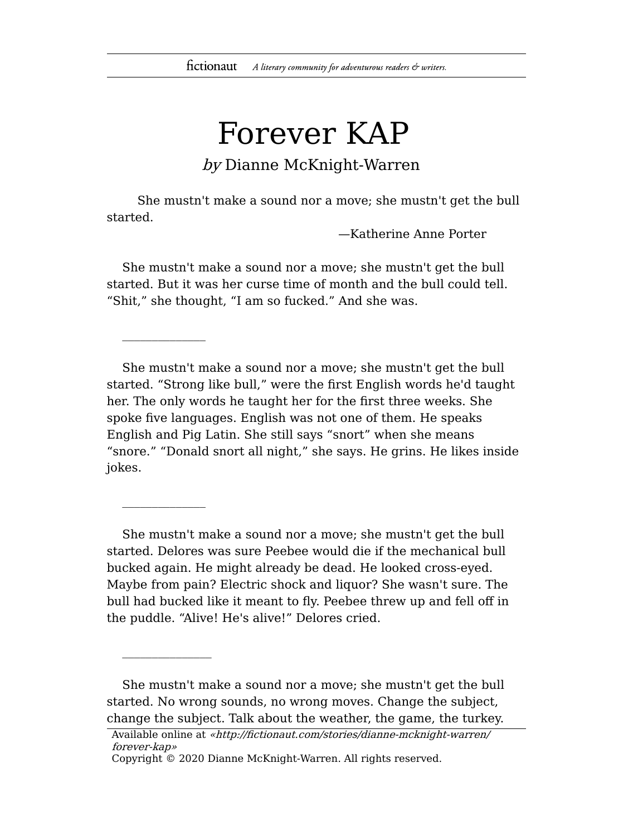## Forever KAP

by Dianne McKnight-Warren

She mustn't make a sound nor a move; she mustn't get the bull started.

—Katherine Anne Porter

She mustn't make a sound nor a move; she mustn't get the bull started. But it was her curse time of month and the bull could tell. "Shit," she thought, "I am so fucked." And she was.

She mustn't make a sound nor a move; she mustn't get the bull started. "Strong like bull," were the first English words he'd taught her. The only words he taught her for the first three weeks. She spoke five languages. English was not one of them. He speaks English and Pig Latin. She still says "snort" when she means "snore." "Donald snort all night," she says. He grins. He likes inside jokes.

She mustn't make a sound nor a move; she mustn't get the bull started. Delores was sure Peebee would die if the mechanical bull bucked again. He might already be dead. He looked cross-eyed. Maybe from pain? Electric shock and liquor? She wasn't sure. The bull had bucked like it meant to fly. Peebee threw up and fell off in the puddle. "Alive! He's alive!" Delores cried.

She mustn't make a sound nor a move; she mustn't get the bull started. No wrong sounds, no wrong moves. Change the subject, change the subject. Talk about the weather, the game, the turkey.

Available online at «http://fictionaut.com/stories/dianne-mcknight-warren/ forever-kap»

Copyright © 2020 Dianne McKnight-Warren. All rights reserved.

 $\frac{1}{2}$